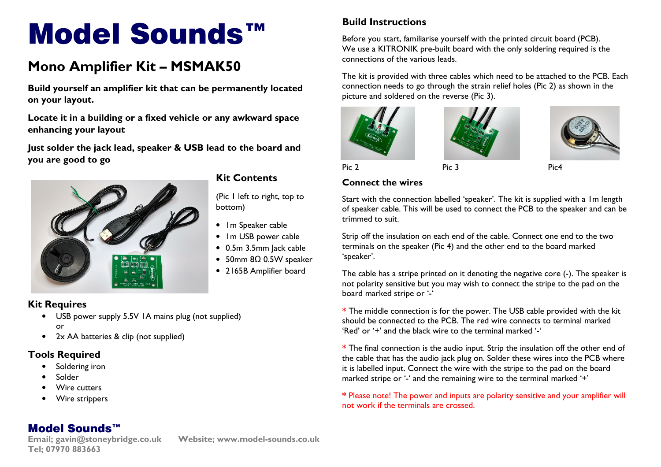# Model Sounds™

# **Mono Amplifier Kit – MSMAK50**

**Build yourself an amplifier kit that can be permanently located on your layout.** 

**Locate it in a building or a fixed vehicle or any awkward space enhancing your layout** 

**Just solder the jack lead, speaker & USB lead to the board and you are good to go** 



# **Kit Contents**

(Pic 1 left to right, top to bottom)

- 1m Speaker cable
- 1m USB power cable
- 0.5m 3.5mm Jack cable
- 50mm 8Ω 0.5W speaker
- 2165B Amplifier board

# **Kit Requires**

- USB power supply 5.5V 1A mains plug (not supplied) or
- 2x AA batteries & clip (not supplied)

# **Tools Required**

- •Soldering iron
- •Solder
- •Wire cutters
- •Wire strippers

# **Build Instructions**

Before you start, familiarise yourself with the printed circuit board (PCB). We use a KITRONIK pre-built board with the only soldering required is the connections of the various leads.

The kit is provided with three cables which need to be attached to the PCB. Each connection needs to go through the strain relief holes (Pic 2) as shown in the picture and soldered on the reverse (Pic 3).







Pic 2 Pic 3 Pic 4

#### **Connect the wires**

Start with the connection labelled 'speaker'. The kit is supplied with a 1m length of speaker cable. This will be used to connect the PCB to the speaker and can be trimmed to suit.

Strip off the insulation on each end of the cable. Connect one end to the two terminals on the speaker (Pic 4) and the other end to the board marked 'speaker'.

The cable has a stripe printed on it denoting the negative core (-). The speaker is not polarity sensitive but you may wish to connect the stripe to the pad on the board marked stripe or '-'

**\*** The middle connection is for the power. The USB cable provided with the kit should be connected to the PCB. The red wire connects to terminal marked 'Red' or '+' and the black wire to the terminal marked '-'

**\*** The final connection is the audio input. Strip the insulation off the other end of the cable that has the audio jack plug on. Solder these wires into the PCB where it is labelled input. Connect the wire with the stripe to the pad on the board marked stripe or '-' and the remaining wire to the terminal marked '+'

**\*** Please note! The power and inputs are polarity sensitive and your amplifier will not work if the terminals are crossed.

# Model Sounds™

**Tel; 07970 883663** 

**Email; gavin@stoneybridge.co.uk Website; www.model-sounds.co.uk**